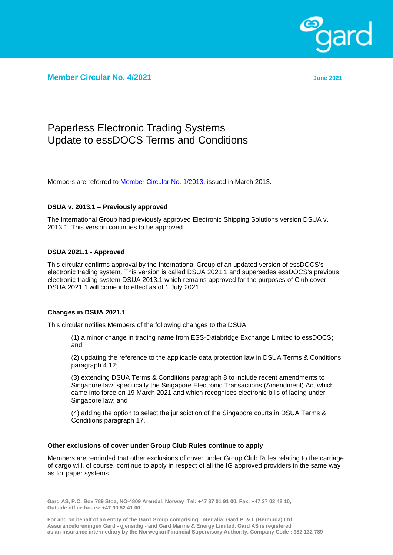

**Member Circular No. 4/2021 June 2021**

# Paperless Electronic Trading Systems Update to essDOCS Terms and Conditions

Members are referred to **Member Circular No. 1/2013**, issued in March 2013.

## **DSUA v. 2013.1 – Previously approved**

The International Group had previously approved Electronic Shipping Solutions version DSUA v. 2013.1. This version continues to be approved.

## **DSUA 2021.1 - Approved**

This circular confirms approval by the International Group of an updated version of essDOCS's electronic trading system. This version is called DSUA 2021.1 and supersedes essDOCS's previous electronic trading system DSUA 2013.1 which remains approved for the purposes of Club cover. DSUA 2021.1 will come into effect as of 1 July 2021.

### **Changes in DSUA 2021.1**

This circular notifies Members of the following changes to the DSUA:

(1) a minor change in trading name from ESS-Databridge Exchange Limited to essDOCS**;**  and

(2) updating the reference to the applicable data protection law in DSUA Terms & Conditions paragraph 4.12;

(3) extending DSUA Terms & Conditions paragraph 8 to include recent amendments to Singapore law, specifically the Singapore Electronic Transactions (Amendment) Act which came into force on 19 March 2021 and which recognises electronic bills of lading under Singapore law; and

(4) adding the option to select the jurisdiction of the Singapore courts in DSUA Terms & Conditions paragraph 17.

### **Other exclusions of cover under Group Club Rules continue to apply**

Members are reminded that other exclusions of cover under Group Club Rules relating to the carriage of cargo will, of course, continue to apply in respect of all the IG approved providers in the same way as for paper systems.

**Gard AS, P.O. Box 789 Stoa, NO-4809 Arendal, Norway Tel: +47 37 01 91 00, Fax: +47 37 02 48 10, Outside office hours: +47 90 52 41 00**